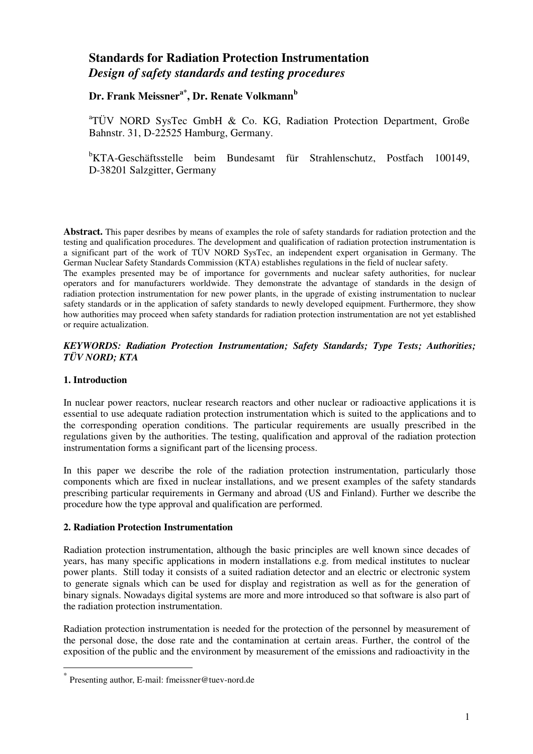# **Standards for Radiation Protection Instrumentation**  *Design of safety standards and testing procedures*

**Dr. Frank Meissnera\*, Dr. Renate Volkmann<sup>b</sup>**

<sup>a</sup>TÜV NORD SysTec GmbH & Co. KG, Radiation Protection Department, Große Bahnstr. 31, D-22525 Hamburg, Germany.

<sup>b</sup>KTA-Geschäftsstelle beim Bundesamt für Strahlenschutz, Postfach 100149, D-38201 Salzgitter, Germany

**Abstract.** This paper desribes by means of examples the role of safety standards for radiation protection and the testing and qualification procedures. The development and qualification of radiation protection instrumentation is a significant part of the work of TÜV NORD SysTec, an independent expert organisation in Germany. The German Nuclear Safety Standards Commission (KTA) establishes regulations in the field of nuclear safety.

The examples presented may be of importance for governments and nuclear safety authorities, for nuclear operators and for manufacturers worldwide. They demonstrate the advantage of standards in the design of radiation protection instrumentation for new power plants, in the upgrade of existing instrumentation to nuclear safety standards or in the application of safety standards to newly developed equipment. Furthermore, they show how authorities may proceed when safety standards for radiation protection instrumentation are not yet established or require actualization.

#### *KEYWORDS: Radiation Protection Instrumentation; Safety Standards; Type Tests; Authorities; TÜV NORD; KTA*

## **1. Introduction**

 $\overline{a}$ 

In nuclear power reactors, nuclear research reactors and other nuclear or radioactive applications it is essential to use adequate radiation protection instrumentation which is suited to the applications and to the corresponding operation conditions. The particular requirements are usually prescribed in the regulations given by the authorities. The testing, qualification and approval of the radiation protection instrumentation forms a significant part of the licensing process.

In this paper we describe the role of the radiation protection instrumentation, particularly those components which are fixed in nuclear installations, and we present examples of the safety standards prescribing particular requirements in Germany and abroad (US and Finland). Further we describe the procedure how the type approval and qualification are performed.

## **2. Radiation Protection Instrumentation**

Radiation protection instrumentation, although the basic principles are well known since decades of years, has many specific applications in modern installations e.g. from medical institutes to nuclear power plants. Still today it consists of a suited radiation detector and an electric or electronic system to generate signals which can be used for display and registration as well as for the generation of binary signals. Nowadays digital systems are more and more introduced so that software is also part of the radiation protection instrumentation.

Radiation protection instrumentation is needed for the protection of the personnel by measurement of the personal dose, the dose rate and the contamination at certain areas. Further, the control of the exposition of the public and the environment by measurement of the emissions and radioactivity in the

<sup>\*</sup> Presenting author, E-mail: fmeissner@tuev-nord.de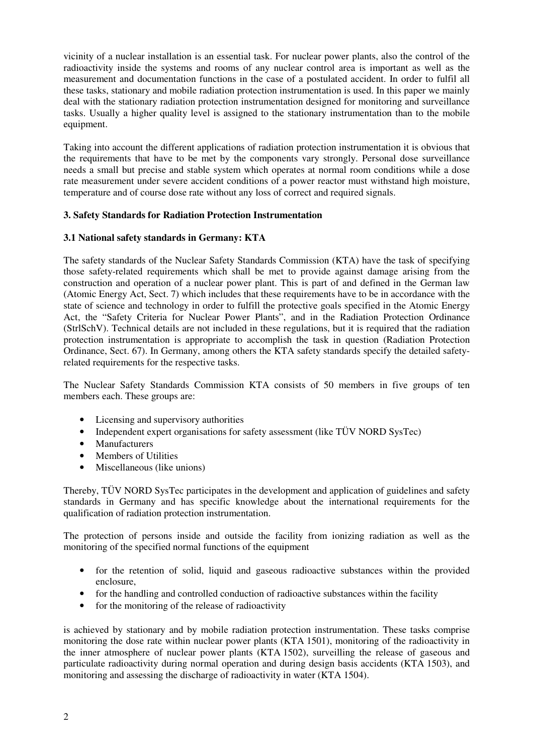vicinity of a nuclear installation is an essential task. For nuclear power plants, also the control of the radioactivity inside the systems and rooms of any nuclear control area is important as well as the measurement and documentation functions in the case of a postulated accident. In order to fulfil all these tasks, stationary and mobile radiation protection instrumentation is used. In this paper we mainly deal with the stationary radiation protection instrumentation designed for monitoring and surveillance tasks. Usually a higher quality level is assigned to the stationary instrumentation than to the mobile equipment.

Taking into account the different applications of radiation protection instrumentation it is obvious that the requirements that have to be met by the components vary strongly. Personal dose surveillance needs a small but precise and stable system which operates at normal room conditions while a dose rate measurement under severe accident conditions of a power reactor must withstand high moisture, temperature and of course dose rate without any loss of correct and required signals.

## **3. Safety Standards for Radiation Protection Instrumentation**

#### **3.1 National safety standards in Germany: KTA**

The safety standards of the Nuclear Safety Standards Commission (KTA) have the task of specifying those safety-related requirements which shall be met to provide against damage arising from the construction and operation of a nuclear power plant. This is part of and defined in the German law (Atomic Energy Act, Sect. 7) which includes that these requirements have to be in accordance with the state of science and technology in order to fulfill the protective goals specified in the Atomic Energy Act, the "Safety Criteria for Nuclear Power Plants", and in the Radiation Protection Ordinance (StrlSchV). Technical details are not included in these regulations, but it is required that the radiation protection instrumentation is appropriate to accomplish the task in question (Radiation Protection Ordinance, Sect. 67). In Germany, among others the KTA safety standards specify the detailed safetyrelated requirements for the respective tasks.

The Nuclear Safety Standards Commission KTA consists of 50 members in five groups of ten members each. These groups are:

- Licensing and supervisory authorities
- Independent expert organisations for safety assessment (like TÜV NORD SysTec)
- Manufacturers
- Members of Utilities
- Miscellaneous (like unions)

Thereby, TÜV NORD SysTec participates in the development and application of guidelines and safety standards in Germany and has specific knowledge about the international requirements for the qualification of radiation protection instrumentation.

The protection of persons inside and outside the facility from ionizing radiation as well as the monitoring of the specified normal functions of the equipment

- for the retention of solid, liquid and gaseous radioactive substances within the provided enclosure,
- for the handling and controlled conduction of radioactive substances within the facility
- for the monitoring of the release of radioactivity

is achieved by stationary and by mobile radiation protection instrumentation. These tasks comprise monitoring the dose rate within nuclear power plants (KTA 1501), monitoring of the radioactivity in the inner atmosphere of nuclear power plants (KTA 1502), surveilling the release of gaseous and particulate radioactivity during normal operation and during design basis accidents (KTA 1503), and monitoring and assessing the discharge of radioactivity in water (KTA 1504).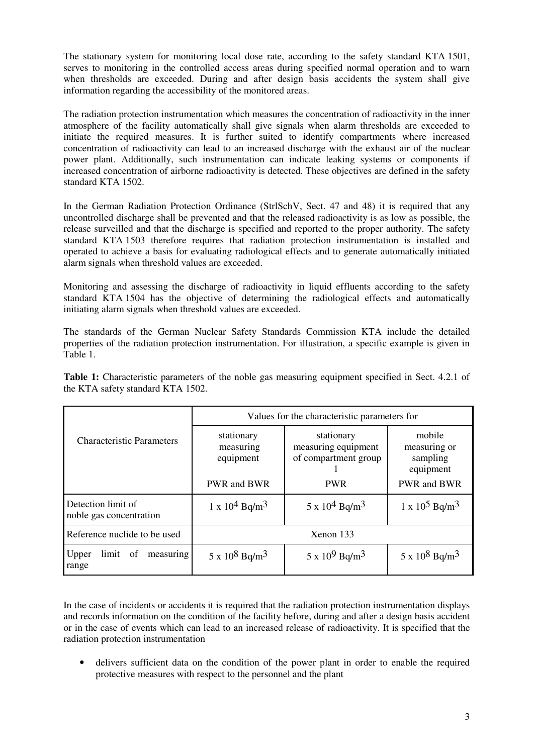The stationary system for monitoring local dose rate, according to the safety standard KTA 1501, serves to monitoring in the controlled access areas during specified normal operation and to warn when thresholds are exceeded. During and after design basis accidents the system shall give information regarding the accessibility of the monitored areas.

The radiation protection instrumentation which measures the concentration of radioactivity in the inner atmosphere of the facility automatically shall give signals when alarm thresholds are exceeded to initiate the required measures. It is further suited to identify compartments where increased concentration of radioactivity can lead to an increased discharge with the exhaust air of the nuclear power plant. Additionally, such instrumentation can indicate leaking systems or components if increased concentration of airborne radioactivity is detected. These objectives are defined in the safety standard KTA 1502.

In the German Radiation Protection Ordinance (StrlSchV, Sect. 47 and 48) it is required that any uncontrolled discharge shall be prevented and that the released radioactivity is as low as possible, the release surveilled and that the discharge is specified and reported to the proper authority. The safety standard KTA 1503 therefore requires that radiation protection instrumentation is installed and operated to achieve a basis for evaluating radiological effects and to generate automatically initiated alarm signals when threshold values are exceeded.

Monitoring and assessing the discharge of radioactivity in liquid effluents according to the safety standard KTA 1504 has the objective of determining the radiological effects and automatically initiating alarm signals when threshold values are exceeded.

The standards of the German Nuclear Safety Standards Commission KTA include the detailed properties of the radiation protection instrumentation. For illustration, a specific example is given in Table 1.

| Table 1: Characteristic parameters of the noble gas measuring equipment specified in Sect. 4.2.1 of |  |  |  |
|-----------------------------------------------------------------------------------------------------|--|--|--|
| the KTA safety standard KTA 1502.                                                                   |  |  |  |

|                                               | Values for the characteristic parameters for        |                                                                         |                                                                |  |  |
|-----------------------------------------------|-----------------------------------------------------|-------------------------------------------------------------------------|----------------------------------------------------------------|--|--|
| <b>Characteristic Parameters</b>              | stationary<br>measuring<br>equipment<br>PWR and BWR | stationary<br>measuring equipment<br>of compartment group<br><b>PWR</b> | mobile<br>measuring or<br>sampling<br>equipment<br>PWR and BWR |  |  |
| Detection limit of<br>noble gas concentration | $1 \times 10^4$ Bq/m <sup>3</sup>                   | $5 \times 10^4$ Bq/m <sup>3</sup>                                       | $1 \times 10^5$ Bq/m <sup>3</sup>                              |  |  |
| Reference nuclide to be used                  | Xenon 133                                           |                                                                         |                                                                |  |  |
| limit of<br>measuring<br>Upper<br>range       | $5 \times 10^8$ Bq/m <sup>3</sup>                   | $5 \times 10^9$ Bq/m <sup>3</sup>                                       | $5 \times 10^8$ Bq/m <sup>3</sup>                              |  |  |

In the case of incidents or accidents it is required that the radiation protection instrumentation displays and records information on the condition of the facility before, during and after a design basis accident or in the case of events which can lead to an increased release of radioactivity. It is specified that the radiation protection instrumentation

• delivers sufficient data on the condition of the power plant in order to enable the required protective measures with respect to the personnel and the plant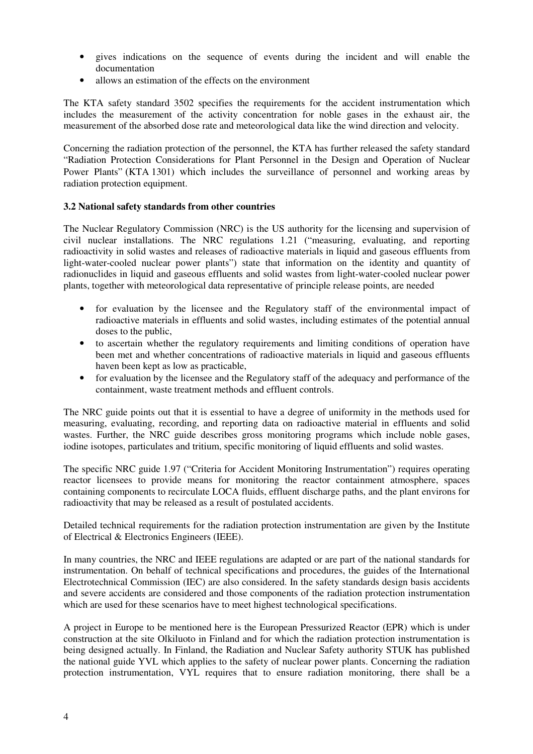- gives indications on the sequence of events during the incident and will enable the documentation
- allows an estimation of the effects on the environment

The KTA safety standard 3502 specifies the requirements for the accident instrumentation which includes the measurement of the activity concentration for noble gases in the exhaust air, the measurement of the absorbed dose rate and meteorological data like the wind direction and velocity.

Concerning the radiation protection of the personnel, the KTA has further released the safety standard "Radiation Protection Considerations for Plant Personnel in the Design and Operation of Nuclear Power Plants" (KTA 1301) which includes the surveillance of personnel and working areas by radiation protection equipment.

## **3.2 National safety standards from other countries**

The Nuclear Regulatory Commission (NRC) is the US authority for the licensing and supervision of civil nuclear installations. The NRC regulations 1.21 ("measuring, evaluating, and reporting radioactivity in solid wastes and releases of radioactive materials in liquid and gaseous effluents from light-water-cooled nuclear power plants") state that information on the identity and quantity of radionuclides in liquid and gaseous effluents and solid wastes from light-water-cooled nuclear power plants, together with meteorological data representative of principle release points, are needed

- for evaluation by the licensee and the Regulatory staff of the environmental impact of radioactive materials in effluents and solid wastes, including estimates of the potential annual doses to the public,
- to ascertain whether the regulatory requirements and limiting conditions of operation have been met and whether concentrations of radioactive materials in liquid and gaseous effluents haven been kept as low as practicable,
- for evaluation by the licensee and the Regulatory staff of the adequacy and performance of the containment, waste treatment methods and effluent controls.

The NRC guide points out that it is essential to have a degree of uniformity in the methods used for measuring, evaluating, recording, and reporting data on radioactive material in effluents and solid wastes. Further, the NRC guide describes gross monitoring programs which include noble gases, iodine isotopes, particulates and tritium, specific monitoring of liquid effluents and solid wastes.

The specific NRC guide 1.97 ("Criteria for Accident Monitoring Instrumentation") requires operating reactor licensees to provide means for monitoring the reactor containment atmosphere, spaces containing components to recirculate LOCA fluids, effluent discharge paths, and the plant environs for radioactivity that may be released as a result of postulated accidents.

Detailed technical requirements for the radiation protection instrumentation are given by the Institute of Electrical & Electronics Engineers (IEEE).

In many countries, the NRC and IEEE regulations are adapted or are part of the national standards for instrumentation. On behalf of technical specifications and procedures, the guides of the International Electrotechnical Commission (IEC) are also considered. In the safety standards design basis accidents and severe accidents are considered and those components of the radiation protection instrumentation which are used for these scenarios have to meet highest technological specifications.

A project in Europe to be mentioned here is the European Pressurized Reactor (EPR) which is under construction at the site Olkiluoto in Finland and for which the radiation protection instrumentation is being designed actually. In Finland, the Radiation and Nuclear Safety authority STUK has published the national guide YVL which applies to the safety of nuclear power plants. Concerning the radiation protection instrumentation, VYL requires that to ensure radiation monitoring, there shall be a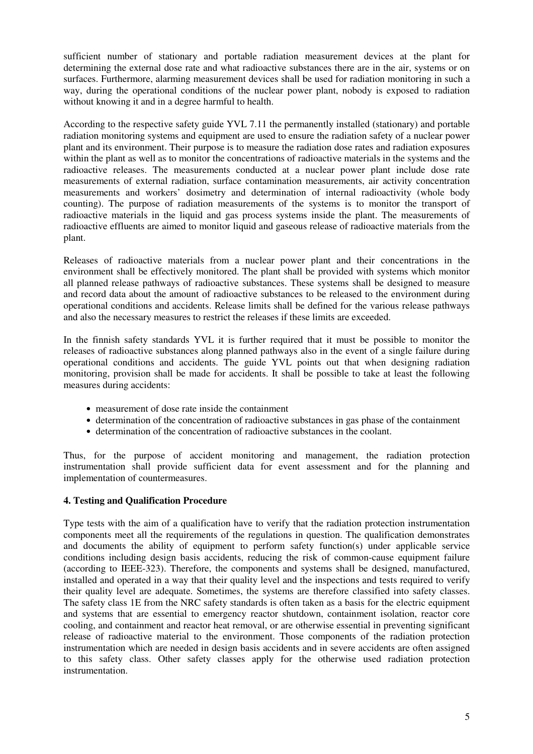sufficient number of stationary and portable radiation measurement devices at the plant for determining the external dose rate and what radioactive substances there are in the air, systems or on surfaces. Furthermore, alarming measurement devices shall be used for radiation monitoring in such a way, during the operational conditions of the nuclear power plant, nobody is exposed to radiation without knowing it and in a degree harmful to health.

According to the respective safety guide YVL 7.11 the permanently installed (stationary) and portable radiation monitoring systems and equipment are used to ensure the radiation safety of a nuclear power plant and its environment. Their purpose is to measure the radiation dose rates and radiation exposures within the plant as well as to monitor the concentrations of radioactive materials in the systems and the radioactive releases. The measurements conducted at a nuclear power plant include dose rate measurements of external radiation, surface contamination measurements, air activity concentration measurements and workers' dosimetry and determination of internal radioactivity (whole body counting). The purpose of radiation measurements of the systems is to monitor the transport of radioactive materials in the liquid and gas process systems inside the plant. The measurements of radioactive effluents are aimed to monitor liquid and gaseous release of radioactive materials from the plant.

Releases of radioactive materials from a nuclear power plant and their concentrations in the environment shall be effectively monitored. The plant shall be provided with systems which monitor all planned release pathways of radioactive substances. These systems shall be designed to measure and record data about the amount of radioactive substances to be released to the environment during operational conditions and accidents. Release limits shall be defined for the various release pathways and also the necessary measures to restrict the releases if these limits are exceeded.

In the finnish safety standards YVL it is further required that it must be possible to monitor the releases of radioactive substances along planned pathways also in the event of a single failure during operational conditions and accidents. The guide YVL points out that when designing radiation monitoring, provision shall be made for accidents. It shall be possible to take at least the following measures during accidents:

- measurement of dose rate inside the containment
- determination of the concentration of radioactive substances in gas phase of the containment
- determination of the concentration of radioactive substances in the coolant.

Thus, for the purpose of accident monitoring and management, the radiation protection instrumentation shall provide sufficient data for event assessment and for the planning and implementation of countermeasures.

#### **4. Testing and Qualification Procedure**

Type tests with the aim of a qualification have to verify that the radiation protection instrumentation components meet all the requirements of the regulations in question. The qualification demonstrates and documents the ability of equipment to perform safety function(s) under applicable service conditions including design basis accidents, reducing the risk of common-cause equipment failure (according to IEEE-323). Therefore, the components and systems shall be designed, manufactured, installed and operated in a way that their quality level and the inspections and tests required to verify their quality level are adequate. Sometimes, the systems are therefore classified into safety classes. The safety class 1E from the NRC safety standards is often taken as a basis for the electric equipment and systems that are essential to emergency reactor shutdown, containment isolation, reactor core cooling, and containment and reactor heat removal, or are otherwise essential in preventing significant release of radioactive material to the environment. Those components of the radiation protection instrumentation which are needed in design basis accidents and in severe accidents are often assigned to this safety class. Other safety classes apply for the otherwise used radiation protection instrumentation.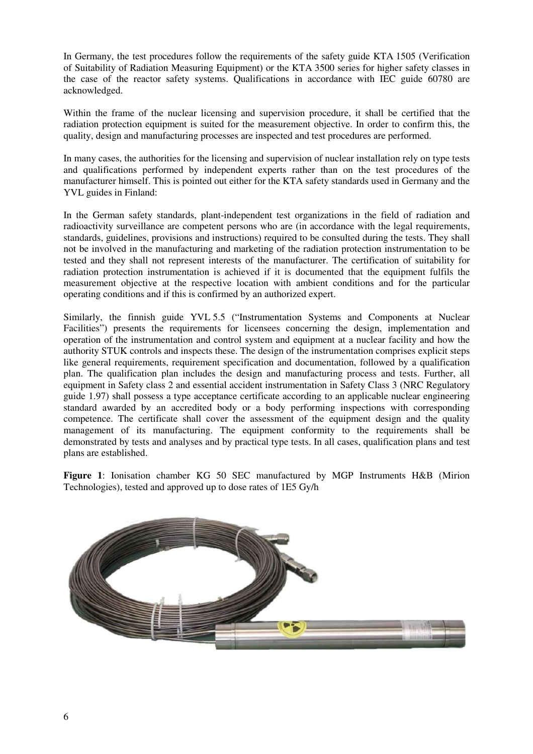In Germany, the test procedures follow the requirements of the safety guide KTA 1505 (Verification of Suitability of Radiation Measuring Equipment) or the KTA 3500 series for higher safety classes in the case of the reactor safety systems. Qualifications in accordance with IEC guide 60780 are acknowledged.

Within the frame of the nuclear licensing and supervision procedure, it shall be certified that the radiation protection equipment is suited for the measurement objective. In order to confirm this, the quality, design and manufacturing processes are inspected and test procedures are performed.

In many cases, the authorities for the licensing and supervision of nuclear installation rely on type tests and qualifications performed by independent experts rather than on the test procedures of the manufacturer himself. This is pointed out either for the KTA safety standards used in Germany and the YVL guides in Finland:

In the German safety standards, plant-independent test organizations in the field of radiation and radioactivity surveillance are competent persons who are (in accordance with the legal requirements, standards, guidelines, provisions and instructions) required to be consulted during the tests. They shall not be involved in the manufacturing and marketing of the radiation protection instrumentation to be tested and they shall not represent interests of the manufacturer. The certification of suitability for radiation protection instrumentation is achieved if it is documented that the equipment fulfils the measurement objective at the respective location with ambient conditions and for the particular operating conditions and if this is confirmed by an authorized expert.

Similarly, the finnish guide YVL 5.5 ("Instrumentation Systems and Components at Nuclear Facilities") presents the requirements for licensees concerning the design, implementation and operation of the instrumentation and control system and equipment at a nuclear facility and how the authority STUK controls and inspects these. The design of the instrumentation comprises explicit steps like general requirements, requirement specification and documentation, followed by a qualification plan. The qualification plan includes the design and manufacturing process and tests. Further, all equipment in Safety class 2 and essential accident instrumentation in Safety Class 3 (NRC Regulatory guide 1.97) shall possess a type acceptance certificate according to an applicable nuclear engineering standard awarded by an accredited body or a body performing inspections with corresponding competence. The certificate shall cover the assessment of the equipment design and the quality management of its manufacturing. The equipment conformity to the requirements shall be demonstrated by tests and analyses and by practical type tests. In all cases, qualification plans and test plans are established.

**Figure 1**: Ionisation chamber KG 50 SEC manufactured by MGP Instruments H&B (Mirion Technologies), tested and approved up to dose rates of 1E5 Gy/h